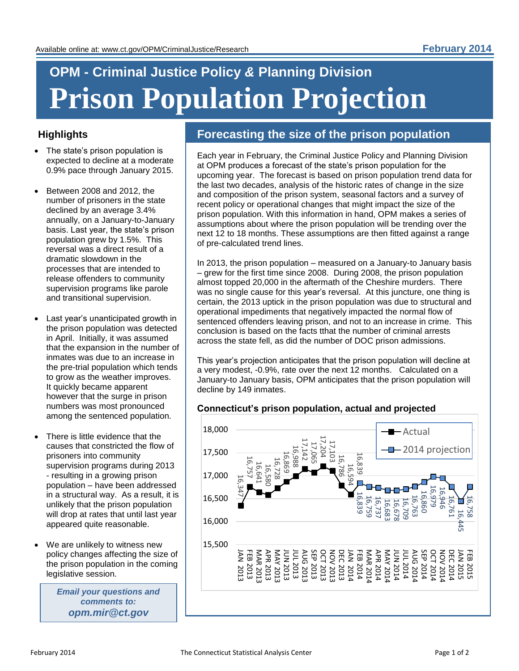# **OPM - Criminal Justice Policy** *&* **Planning Division Prison Population Projection**

### **Highlights**

- The state's prison population is expected to decline at a moderate 0.9% pace through January 2015.
- Between 2008 and 2012, the number of prisoners in the state declined by an average 3.4% annually, on a January-to-January basis. Last year, the state's prison population grew by 1.5%. This reversal was a direct result of a dramatic slowdown in the processes that are intended to release offenders to community supervision programs like parole and transitional supervision.
- Last year's unanticipated growth in the prison population was detected in April. Initially, it was assumed that the expansion in the number of inmates was due to an increase in the pre-trial population which tends to grow as the weather improves. It quickly became apparent however that the surge in prison numbers was most pronounced among the sentenced population.
- There is little evidence that the causes that constricted the flow of prisoners into community supervision programs during 2013 - resulting in a growing prison population – have been addressed in a structural way. As a result, it is unlikely that the prison population will drop at rates that until last year appeared quite reasonable.
- We are unlikely to witness new policy changes affecting the size of the prison population in the coming legislative session.

*Email your questions and comments to: opm.mir@ct.gov*

## **Forecasting the size of the prison population**

Each year in February, the Criminal Justice Policy and Planning Division at OPM produces a forecast of the state's prison population for the upcoming year. The forecast is based on prison population trend data for the last two decades, analysis of the historic rates of change in the size and composition of the prison system, seasonal factors and a survey of recent policy or operational changes that might impact the size of the prison population. With this information in hand, OPM makes a series of assumptions about where the prison population will be trending over the next 12 to 18 months. These assumptions are then fitted against a range of pre-calculated trend lines.

In 2013, the prison population – measured on a January-to January basis – grew for the first time since 2008. During 2008, the prison population almost topped 20,000 in the aftermath of the Cheshire murders. There was no single cause for this year's reversal. At this juncture, one thing is certain, the 2013 uptick in the prison population was due to structural and operational impediments that negatively impacted the normal flow of sentenced offenders leaving prison, and not to an increase in crime. This conclusion is based on the facts tthat the number of criminal arrests across the state fell, as did the number of DOC prison admissions.

This year's projection anticipates that the prison population will decline at a very modest, -0.9%, rate over the next 12 months. Calculated on a January-to January basis, OPM anticipates that the prison population will decline by 149 inmates.

#### **Connecticut's prison population, actual and projected**